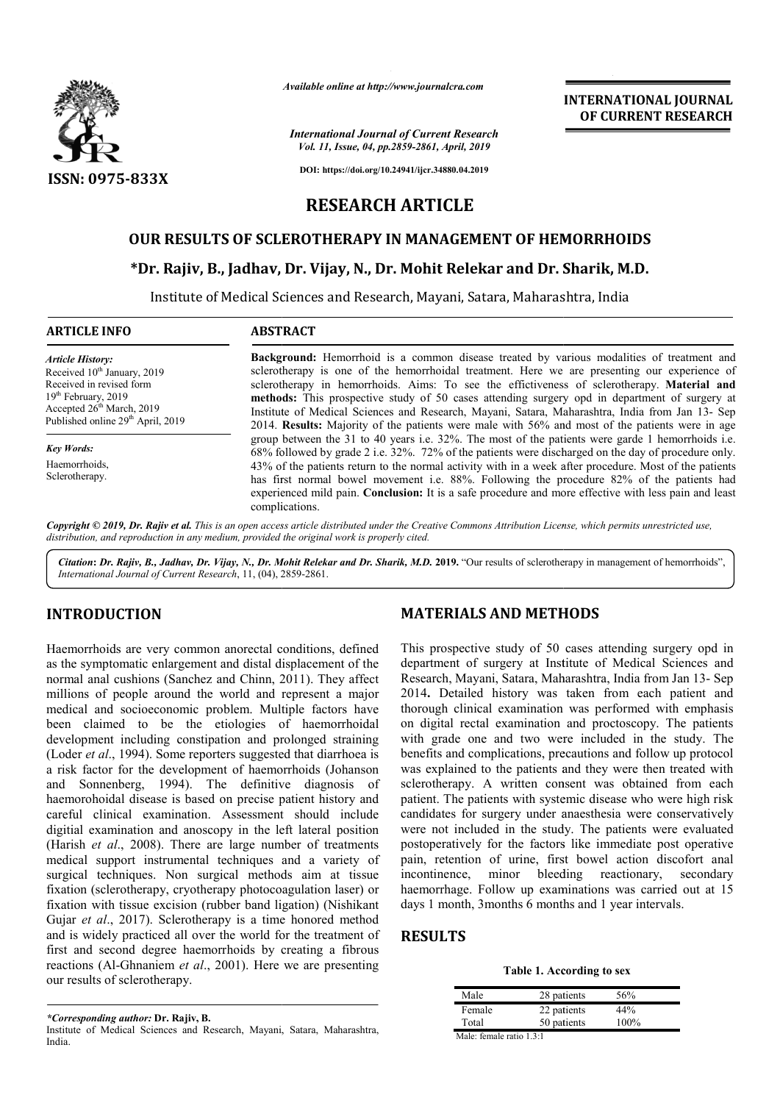

*Available online at http://www.journalcra.com*

*International Journal of Current Research Vol. 11, Issue, 04, pp.2859-2861, April, 2019*

**DOI: https://doi.org/10.24941/ijcr.34880.04.2019**

# **RESEARCH ARTICLE**

# **OUR RESULTS OF SCLEROTHERAPY IN MANAGEMENT OF HEMORRHOIDS**

# OUR RESULTS OF SCLEROTHERAPY IN MANAGEMENT OF HEMORRHOIDS<br>\*Dr. Rajiv, B., Jadhav, Dr. Vijay, N., Dr. Mohit Relekar and Dr. Sharik, M.D.

Institute of Medical Sciences and Research, Mayani, Satara, Maharashtra, India

### **ARTICLE INFO ABSTRACT**

*Article History:* Received 10<sup>th</sup> January, 2019 Received in revised form 19th February, 2019 Accepted 26<sup>th</sup> March, 2019 Published online 29<sup>th</sup> April, 2019

*Key Words:* **Haemorrhoids** Sclerotherapy.

**Background:** Hemorrhoid is a common disease treated by various modalities of treatment and sclerotherapy is one of the hemorrhoidal treatment. Here we are presenting our experience of Background: Hemorrhoid is a common disease treated by various modalities of treatment and sclerotherapy is one of the hemorrhoidal treatment. Here we are presenting our experience of sclerotherapy in hemorrhoids. Aims: To **methods:** This prospective study of 50 cases attending surgery opd in department of surgery at methods: This prospective study of 50 cases attending surgery opd in department of surgery at Institute of Medical Sciences and Research, Mayani, Satara, Maharashtra, India from Jan 13- Sep 2014. **Results:** Majority of the patients were male with 56% and most of the patients were in age group between the 31 to 40 years i.e. 32%. The most of the patients were garde 1 hemorrhoids i.e. 68% followed by grade 2 i.e. 32%. 72% of the patients were discharged o 43% of the patients return to the normal activity with in a week after procedure. Most of the patients has first normal bowel movement i.e. 88%. Following the procedure 82% of the patients had experienced mild pain. **Conclusion:** It is a safe procedure and more effective with less pain and least complications. 2014. **Results:** Majority of the patients were male with 56% and most of the patients were in age group between the 31 to 40 years i.e. 32%. The most of the patients were garde 1 hemorrhoids i.e. 68% followed by grade 2 i. 43% of the patients return to the normal activity with in a week after procedure. Most of has first normal bowel movement i.e. 88%. Following the procedure 82% of the pexperienced mild pain. **Conclusion:** It is a safe proc

Copyright © 2019, Dr. Rajiv et al. This is an open access article distributed under the Creative Commons Attribution License, which permits unrestricted use, *distribution, and reproduction in any medium, provided the original work is properly cited.*

Citation: Dr. Rajiv, B., Jadhav, Dr. Vijay, N., Dr. Mohit Relekar and Dr. Sharik, M.D. 2019. "Our results of sclerotherapy in management of hemorrhoids", *International Journal of Current Research*, 11, (04), 2859 2859-2861.

# **INTRODUCTION**

Haemorrhoids are very common anorectal conditions, defined as the symptomatic enlargement and distal displacement of the normal anal cushions (Sanchez and Chinn, 2011 , 2011). They affect millions of people around the world and represent a major medical and socioeconomic problem. Multiple factors have been claimed to be the etiologies of haemorrhoidal development including constipation and prolonged straining (Loder *et al*., 1994). Some reporters suggested that diarrhoea is a risk factor for the development of haemorrhoids (Johanson and Sonnenberg, 1994). The definitive diagnosis of haemorohoidal disease is based on precise patient history and careful clinical examination. Assessment should include digitial examination and anoscopy in the left lateral position (Harish et al., 2008). There are large number of treatments medical support instrumental techniques and a variety of surgical techniques. Non surgical methods aim at tissue fixation (sclerotherapy, cryotherapy photocoagulation laser) or fixation with tissue excision (rubber band ligation) (Nishikant Gujar *et al*., 2017). Sclerotherapy is a time honored method and is widely practiced all over the world for the treatment of first and second degree haemorrhoids by creating a fibrous reactions (Al-Ghnaniem *et al*., 2001). Here we are presenting our results of sclerotherapy.

**MATERIALS AND METHODS**<br> **MATERIALS AND METHODS**<br>
rectal conditions, defined This prospective study of 50 cases idistal displacement of the department of surgery at Institute o<br>
Chinn, 2011). They affect Research, Mayani, This prospective study of 50 cases attending surgery opd in department of surgery at Institute of Medical Sciences and This prospective study of 50 cases attending surgery opd in department of surgery at Institute of Medical Sciences and Research, Mayani, Satara, Maharashtra, India from Jan 13- Sep 2014**.** Detailed history was taken from each patient and thorough clinical examination was performed with emphasis 2014. Detailed history was taken from each patient and thorough clinical examination was performed with emphasis<br>on digital rectal examination and proctoscopy. The patients with grade one and two were included in the study. The benefits and complications, precautions and follow up protocol was explained to the patients and they were then treated with sclerotherapy. A written consent was obtained from each patient. The patients with systemic disease who were high risk benefits and complications, precautions and follow up protocol was explained to the patients and they were then treated with sclerotherapy. A written conservatively of proteint. The patients with systemic disease who were were not included in the study. The patients were evaluated postoperatively for the factors like immediate post operative pain, retention of urine, first bowel action discofort anal incontinence, minor bleeding reactionary, secondary haemorrhage. Follow up examinations was carried out at 15 days 1 month, 3months 6 months and 1 year intervals. eratively for the factors like immediate post operat<br>retention of urine, first bowel action discofort a<br>nence, minor bleeding reactionary, second<br>rhage. Follow up examinations was carried out at<br>month, 3months 6 months and

**INTERNATIONAL JOURNAL OF CURRENT RESEARCH**

# **RESULTS**

**Table 1. According to sex According to sex**

| 22 patients<br>44%  |
|---------------------|
| 50 patients<br>100% |
|                     |

*\*Corresponding author:* **Dr. Rajiv, B.** Institute of Medical Sciences and Research, Mayani, Satara, Maharashtra, India.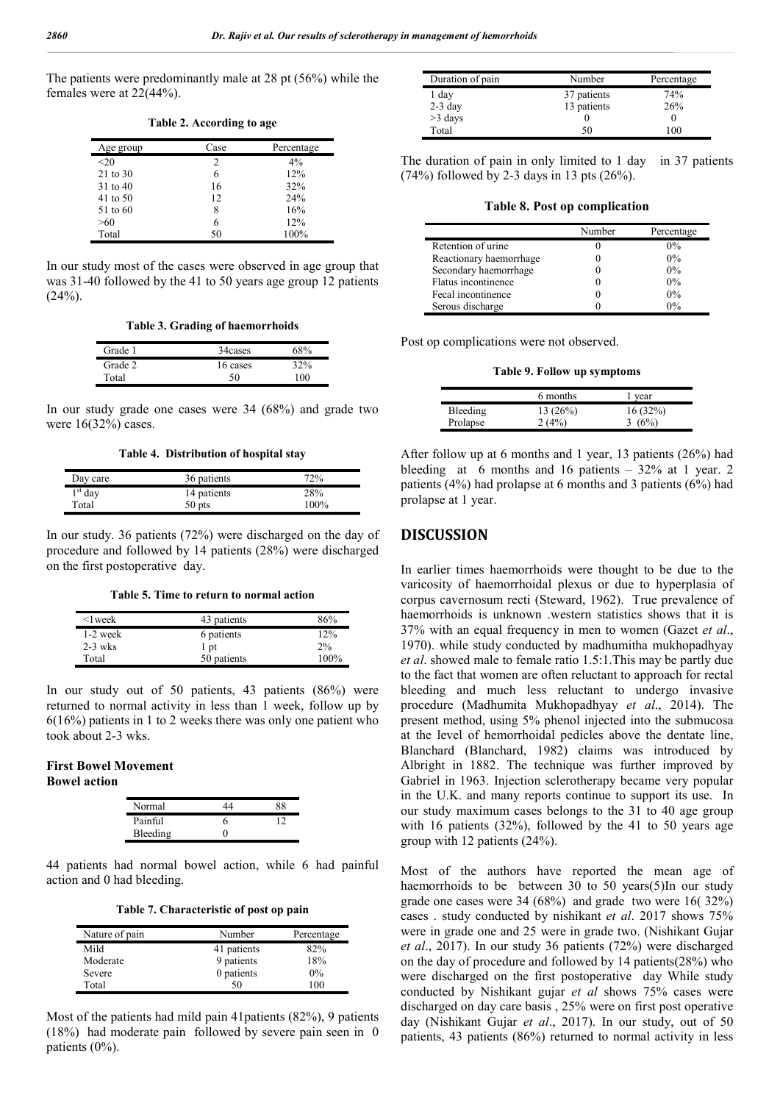The patients were predominantly male at 28 pt (56%) while the females were at 22(44%).

| Age group | Case | Percentage |
|-----------|------|------------|
| $20$      | 2    | 4%         |
| 21 to 30  | 6    | 12%        |
| 31 to 40  | 16   | 32%        |
| 41 to 50  | 12   | 24%        |
| 51 to 60  | 8    | 16%        |
| >60       | 6    | 12%        |
| Total     | 50   | 100%       |

**Table 2. According to age**

In our study most of the cases were observed in age group that was 31-40 followed by the 41 to 50 years age group 12 patients  $(24%)$ .

**Table 3. Grading of haemorrhoids**

| Grade 1 | 34 cases | 68% |
|---------|----------|-----|
| Grade 2 | 16 cases | 32% |
| Total   | 50       | 100 |

In our study grade one cases were 34 (68%) and grade two were  $16(32\%)$  cases.

**Table 4. Distribution of hospital stay**

| Day care  | 36 patients | 72%  |
|-----------|-------------|------|
| $1st$ day | 14 patients | 28%  |
| Total     | 50 pts      | 100% |

In our study. 36 patients (72%) were discharged on the day of procedure and followed by 14 patients (28%) were discharged on the first postoperative day.

**Table 5. Time to return to normal action**

| $\leq$ l week | 43 patients | 86%  |
|---------------|-------------|------|
| $1-2$ week    | 6 patients  | 12%  |
| $2-3$ wks     | 1 pt        | 2%   |
| Total         | 50 patients | 100% |

In our study out of 50 patients, 43 patients (86%) were returned to normal activity in less than 1 week, follow up by 6(16%) patients in 1 to 2 weeks there was only one patient who took about 2-3 wks.

## **First Bowel Movement Bowel action**

| Normal   |  |
|----------|--|
| Painful  |  |
| Bleeding |  |

44 patients had normal bowel action, while 6 had painful action and 0 had bleeding.

**Table 7. Characteristic of post op pain**

| Nature of pain | Number      | Percentage |
|----------------|-------------|------------|
| Mild           | 41 patients | 82%        |
| Moderate       | 9 patients  | 18%        |
| Severe         | 0 patients  | $0\%$      |
| Total          | 50          | 100        |

Most of the patients had mild pain 41patients (82%), 9 patients (18%) had moderate pain followed by severe pain seen in 0 patients (0%).

| Duration of pain | Number      | Percentage |
|------------------|-------------|------------|
| 1 day            | 37 patients | 74%        |
| $2-3$ day        | 13 patients | 26%        |
| $>3$ days        |             |            |
| Total            | 50          | 100        |

The duration of pain in only limited to 1 day in 37 patients  $(74%)$  followed by 2-3 days in 13 pts  $(26%)$ .

**Table 8. Post op complication**

|                         | Number | Percentage |
|-------------------------|--------|------------|
| Retention of urine      |        | $0\%$      |
| Reactionary haemorrhage |        | $0\%$      |
| Secondary haemorrhage   |        | $0\%$      |
| Flatus incontinence     |        | $0\%$      |
| Fecal incontinence      |        | $0\%$      |
| Serous discharge        |        | 0%         |

Post op complications were not observed.

**Table 9. Follow up symptoms**

|                 | 6 months | vear     |
|-----------------|----------|----------|
| <b>Bleeding</b> | 13(26%)  | 16(32%)  |
| Prolapse        | 2(4%)    | 3 $(6%)$ |

After follow up at 6 months and 1 year, 13 patients (26%) had bleeding at 6 months and 16 patients  $-32\%$  at 1 year. 2 patients (4%) had prolapse at 6 months and 3 patients (6%) had prolapse at 1 year.

#### **DISCUSSION**

In earlier times haemorrhoids were thought to be due to the varicosity of haemorrhoidal plexus or due to hyperplasia of corpus cavernosum recti (Steward, 1962). True prevalence of haemorrhoids is unknown .western statistics shows that it is 37% with an equal frequency in men to women (Gazet *et al*., 1970). while study conducted by madhumitha mukhopadhyay *et al*. showed male to female ratio 1.5:1.This may be partly due to the fact that women are often reluctant to approach for rectal bleeding and much less reluctant to undergo invasive procedure (Madhumita Mukhopadhyay *et al*., 2014). The present method, using 5% phenol injected into the submucosa at the level of hemorrhoidal pedicles above the dentate line, Blanchard (Blanchard, 1982) claims was introduced by Albright in 1882. The technique was further improved by Gabriel in 1963. Injection sclerotherapy became very popular in the U.K. and many reports continue to support its use. In our study maximum cases belongs to the 31 to 40 age group with 16 patients (32%), followed by the 41 to 50 years age group with 12 patients (24%).

Most of the authors have reported the mean age of haemorrhoids to be between 30 to 50 years(5)In our study grade one cases were 34 (68%) and grade two were 16( 32%) cases . study conducted by nishikant *et al*. 2017 shows 75% were in grade one and 25 were in grade two. (Nishikant Gujar *et al*., 2017). In our study 36 patients (72%) were discharged on the day of procedure and followed by 14 patients(28%) who were discharged on the first postoperative day While study conducted by Nishikant gujar *et al* shows 75% cases were discharged on day care basis , 25% were on first post operative day (Nishikant Gujar *et al*., 2017). In our study, out of 50 patients, 43 patients (86%) returned to normal activity in less